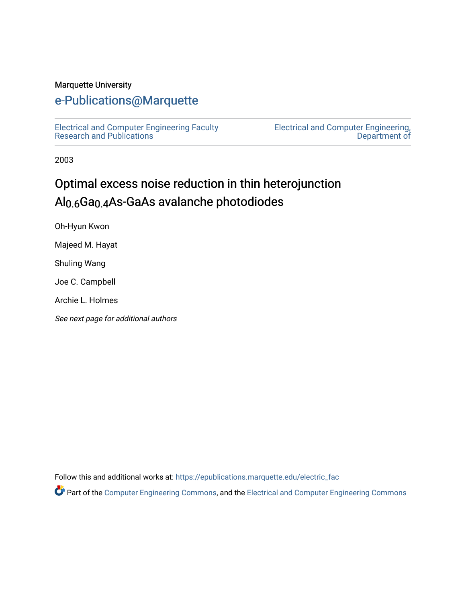#### Marquette University

## [e-Publications@Marquette](https://epublications.marquette.edu/)

[Electrical and Computer Engineering Faculty](https://epublications.marquette.edu/electric_fac) [Research and Publications](https://epublications.marquette.edu/electric_fac) 

[Electrical and Computer Engineering,](https://epublications.marquette.edu/electric)  [Department of](https://epublications.marquette.edu/electric) 

2003

# Optimal excess noise reduction in thin heterojunction Al0.6Ga0.4As-GaAs avalanche photodiodes

Oh-Hyun Kwon

Majeed M. Hayat

Shuling Wang

Joe C. Campbell

Archie L. Holmes

See next page for additional authors

Follow this and additional works at: [https://epublications.marquette.edu/electric\\_fac](https://epublications.marquette.edu/electric_fac?utm_source=epublications.marquette.edu%2Felectric_fac%2F529&utm_medium=PDF&utm_campaign=PDFCoverPages) 

Part of the [Computer Engineering Commons,](http://network.bepress.com/hgg/discipline/258?utm_source=epublications.marquette.edu%2Felectric_fac%2F529&utm_medium=PDF&utm_campaign=PDFCoverPages) and the [Electrical and Computer Engineering Commons](http://network.bepress.com/hgg/discipline/266?utm_source=epublications.marquette.edu%2Felectric_fac%2F529&utm_medium=PDF&utm_campaign=PDFCoverPages)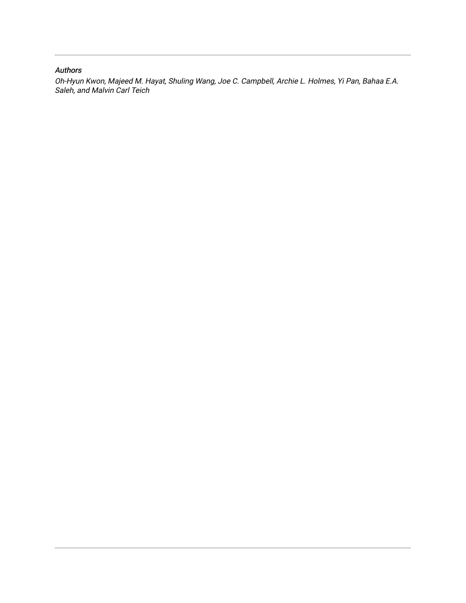#### Authors

Oh-Hyun Kwon, Majeed M. Hayat, Shuling Wang, Joe C. Campbell, Archie L. Holmes, Yi Pan, Bahaa E.A. Saleh, and Malvin Carl Teich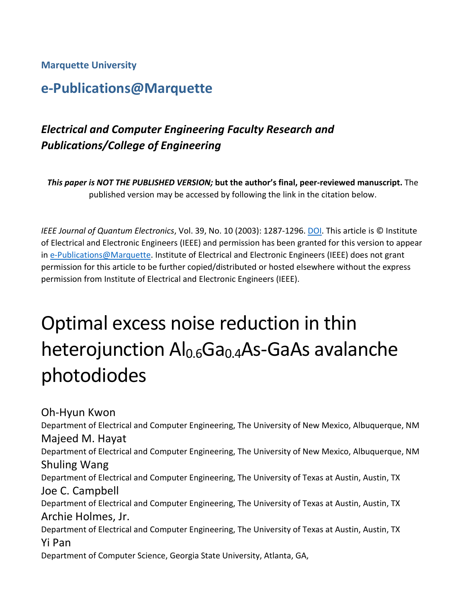**Marquette University**

# **e-Publications@Marquette**

## *Electrical and Computer Engineering Faculty Research and Publications/College of Engineering*

*This paper is NOT THE PUBLISHED VERSION;* **but the author's final, peer-reviewed manuscript.** The published version may be accessed by following the link in the citation below.

*IEEE Journal of Quantum Electronics*, Vol. 39, No. 10 (2003): 1287-1296. [DOI.](https://dx.doi.org/10.1109/JQE.2003.817671) This article is © Institute of Electrical and Electronic Engineers (IEEE) and permission has been granted for this version to appear in [e-Publications@Marquette.](http://epublications.marquette.edu/) Institute of Electrical and Electronic Engineers (IEEE) does not grant permission for this article to be further copied/distributed or hosted elsewhere without the express permission from Institute of Electrical and Electronic Engineers (IEEE).

# Optimal excess noise reduction in thin heterojunction  $Al<sub>0.6</sub>Ga<sub>0.4</sub>As-GaAs avalanche$ photodiodes

Oh-Hyun Kwon Department of Electrical and Computer Engineering, The University of New Mexico, Albuquerque, NM Majeed M. Hayat Department of Electrical and Computer Engineering, The University of New Mexico, Albuquerque, NM Shuling Wang Department of Electrical and Computer Engineering, The University of Texas at Austin, Austin, TX Joe C. Campbell Department of Electrical and Computer Engineering, The University of Texas at Austin, Austin, TX Archie Holmes, Jr. Department of Electrical and Computer Engineering, The University of Texas at Austin, Austin, TX Yi Pan Department of Computer Science, Georgia State University, Atlanta, GA,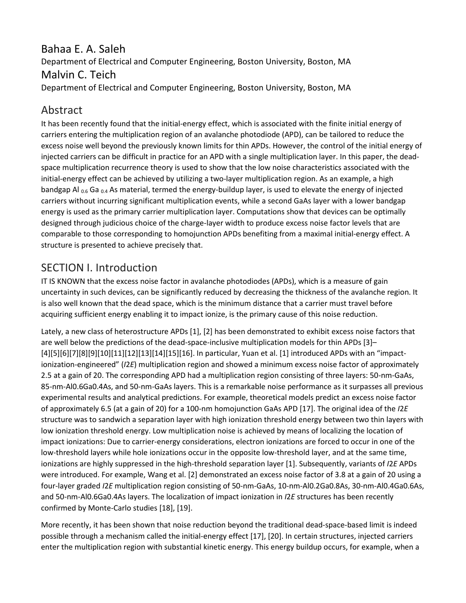#### Bahaa E. A. Saleh Department of Electrical and Computer Engineering, Boston University, Boston, MA Malvin C. Teich Department of Electrical and Computer Engineering, Boston University, Boston, MA

## Abstract

It has been recently found that the initial-energy effect, which is associated with the finite initial energy of carriers entering the multiplication region of an avalanche photodiode (APD), can be tailored to reduce the excess noise well beyond the previously known limits for thin APDs. However, the control of the initial energy of injected carriers can be difficult in practice for an APD with a single multiplication layer. In this paper, the deadspace multiplication recurrence theory is used to show that the low noise characteristics associated with the initial-energy effect can be achieved by utilizing a two-layer multiplication region. As an example, a high bandgap Al <sub>0.6</sub> Ga <sub>0.4</sub> As material, termed the energy-buildup layer, is used to elevate the energy of injected carriers without incurring significant multiplication events, while a second GaAs layer with a lower bandgap energy is used as the primary carrier multiplication layer. Computations show that devices can be optimally designed through judicious choice of the charge-layer width to produce excess noise factor levels that are comparable to those corresponding to homojunction APDs benefiting from a maximal initial-energy effect. A structure is presented to achieve precisely that.

## SECTION I. Introduction

IT IS KNOWN that the excess noise factor in avalanche photodiodes (APDs), which is a measure of gain uncertainty in such devices, can be significantly reduced by decreasing the thickness of the avalanche region. It is also well known that the dead space, which is the minimum distance that a carrier must travel before acquiring sufficient energy enabling it to impact ionize, is the primary cause of this noise reduction.

Lately, a new class of heterostructure APDs [1], [2] has been demonstrated to exhibit excess noise factors that are well below the predictions of the dead-space-inclusive multiplication models for thin APDs [3]– [4][5][6][7][8][9][10][11][12][13][14][15][16]. In particular, Yuan et al. [1] introduced APDs with an "impactionization-engineered" (*I*2*E*) multiplication region and showed a minimum excess noise factor of approximately 2.5 at a gain of 20. The corresponding APD had a multiplication region consisting of three layers: 50-nm-GaAs, 85-nm-Al0.6Ga0.4As, and 50-nm-GaAs layers. This is a remarkable noise performance as it surpasses all previous experimental results and analytical predictions. For example, theoretical models predict an excess noise factor of approximately 6.5 (at a gain of 20) for a 100-nm homojunction GaAs APD [17]. The original idea of the *I*2*E* structure was to sandwich a separation layer with high ionization threshold energy between two thin layers with low ionization threshold energy. Low multiplication noise is achieved by means of localizing the location of impact ionizations: Due to carrier-energy considerations, electron ionizations are forced to occur in one of the low-threshold layers while hole ionizations occur in the opposite low-threshold layer, and at the same time, ionizations are highly suppressed in the high-threshold separation layer [1]. Subsequently, variants of *I*2*E* APDs were introduced. For example, Wang et al. [2] demonstrated an excess noise factor of 3.8 at a gain of 20 using a four-layer graded *I*2*E* multiplication region consisting of 50-nm-GaAs, 10-nm-Al0.2Ga0.8As, 30-nm-Al0.4Ga0.6As, and 50-nm-Al0.6Ga0.4As layers. The localization of impact ionization in *I*2*E* structures has been recently confirmed by Monte-Carlo studies [18], [19].

More recently, it has been shown that noise reduction beyond the traditional dead-space-based limit is indeed possible through a mechanism called the initial-energy effect [17], [20]. In certain structures, injected carriers enter the multiplication region with substantial kinetic energy. This energy buildup occurs, for example, when a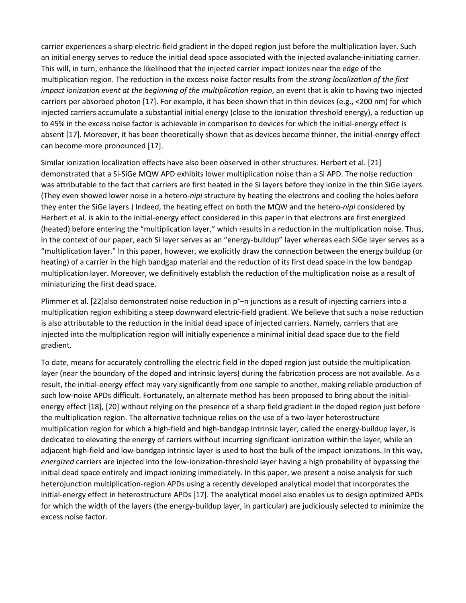carrier experiences a sharp electric-field gradient in the doped region just before the multiplication layer. Such an initial energy serves to reduce the initial dead space associated with the injected avalanche-initiating carrier. This will, in turn, enhance the likelihood that the injected carrier impact ionizes near the edge of the multiplication region. The reduction in the excess noise factor results from the *strong localization of the first impact ionization event at the beginning of the multiplication region*, an event that is akin to having two injected carriers per absorbed photon [17]. For example, it has been shown that in thin devices (e.g., <200 nm) for which injected carriers accumulate a substantial initial energy (close to the ionization threshold energy), a reduction up to 45% in the excess noise factor is achievable in comparison to devices for which the initial-energy effect is absent [17]. Moreover, it has been theoretically shown that as devices become thinner, the initial-energy effect can become more pronounced [17].

Similar ionization localization effects have also been observed in other structures. Herbert et al. [21] demonstrated that a Si-SiGe MQW APD exhibits lower multiplication noise than a Si APD. The noise reduction was attributable to the fact that carriers are first heated in the Si layers before they ionize in the thin SiGe layers. (They even showed lower noise in a hetero-*nipi* structure by heating the electrons and cooling the holes before they enter the SiGe layers.) Indeed, the heating effect on both the MQW and the hetero-*nipi* considered by Herbert et al. is akin to the initial-energy effect considered in this paper in that electrons are first energized (heated) before entering the "multiplication layer," which results in a reduction in the multiplication noise. Thus, in the context of our paper, each Si layer serves as an "energy-buildup" layer whereas each SiGe layer serves as a "multiplication layer." In this paper, however, we explicitly draw the connection between the energy buildup (or heating) of a carrier in the high bandgap material and the reduction of its first dead space in the low bandgap multiplication layer. Moreover, we definitively establish the reduction of the multiplication noise as a result of miniaturizing the first dead space.

Plimmer et al. [22]also demonstrated noise reduction in p<sup>+</sup>-n junctions as a result of injecting carriers into a multiplication region exhibiting a steep downward electric-field gradient. We believe that such a noise reduction is also attributable to the reduction in the initial dead space of injected carriers. Namely, carriers that are injected into the multiplication region will initially experience a minimal initial dead space due to the field gradient.

To date, means for accurately controlling the electric field in the doped region just outside the multiplication layer (near the boundary of the doped and intrinsic layers) during the fabrication process are not available. As a result, the initial-energy effect may vary significantly from one sample to another, making reliable production of such low-noise APDs difficult. Fortunately, an alternate method has been proposed to bring about the initialenergy effect [18], [20] without relying on the presence of a sharp field gradient in the doped region just before the multiplication region. The alternative technique relies on the use of a two-layer heterostructure multiplication region for which a high-field and high-bandgap intrinsic layer, called the energy-buildup layer, is dedicated to elevating the energy of carriers without incurring significant ionization within the layer, while an adjacent high-field and low-bandgap intrinsic layer is used to host the bulk of the impact ionizations. In this way, *energized* carriers are injected into the low-ionization-threshold layer having a high probability of bypassing the initial dead space entirely and impact ionizing immediately. In this paper, we present a noise analysis for such heterojunction multiplication-region APDs using a recently developed analytical model that incorporates the initial-energy effect in heterostructure APDs [17]. The analytical model also enables us to design optimized APDs for which the width of the layers (the energy-buildup layer, in particular) are judiciously selected to minimize the excess noise factor.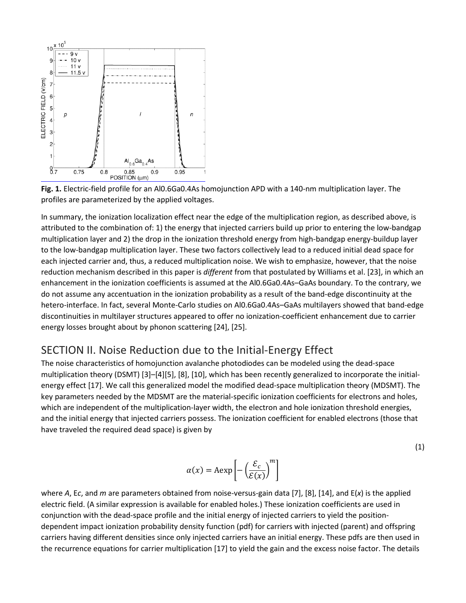

**Fig. 1.** Electric-field profile for an Al0.6Ga0.4As homojunction APD with a 140-nm multiplication layer. The profiles are parameterized by the applied voltages.

In summary, the ionization localization effect near the edge of the multiplication region, as described above, is attributed to the combination of: 1) the energy that injected carriers build up prior to entering the low-bandgap multiplication layer and 2) the drop in the ionization threshold energy from high-bandgap energy-buildup layer to the low-bandgap multiplication layer. These two factors collectively lead to a reduced initial dead space for each injected carrier and, thus, a reduced multiplication noise. We wish to emphasize, however, that the noise reduction mechanism described in this paper is *different* from that postulated by Williams et al. [23], in which an enhancement in the ionization coefficients is assumed at the Al0.6Ga0.4As–GaAs boundary. To the contrary, we do not assume any accentuation in the ionization probability as a result of the band-edge discontinuity at the hetero-interface. In fact, several Monte-Carlo studies on Al0.6Ga0.4As–GaAs multilayers showed that band-edge discontinuities in multilayer structures appeared to offer no ionization-coefficient enhancement due to carrier energy losses brought about by phonon scattering [24], [25].

#### SECTION II. Noise Reduction due to the Initial-Energy Effect

The noise characteristics of homojunction avalanche photodiodes can be modeled using the dead-space multiplication theory (DSMT) [3]–[4][5], [8], [10], which has been recently generalized to incorporate the initialenergy effect [17]. We call this generalized model the modified dead-space multiplication theory (MDSMT). The key parameters needed by the MDSMT are the material-specific ionization coefficients for electrons and holes, which are independent of the multiplication-layer width, the electron and hole ionization threshold energies, and the initial energy that injected carriers possess. The ionization coefficient for enabled electrons (those that have traveled the required dead space) is given by

(1)

$$
\alpha(x) = \text{Aexp}\left[-\left(\frac{\mathcal{E}_c}{\mathcal{E}(x)}\right)^m\right]
$$

where *A*, E*c*, and *m* are parameters obtained from noise-versus-gain data [7], [8], [14], and E(*x*) is the applied electric field. (A similar expression is available for enabled holes.) These ionization coefficients are used in conjunction with the dead-space profile and the initial energy of injected carriers to yield the positiondependent impact ionization probability density function (pdf) for carriers with injected (parent) and offspring carriers having different densities since only injected carriers have an initial energy. These pdfs are then used in the recurrence equations for carrier multiplication [17] to yield the gain and the excess noise factor. The details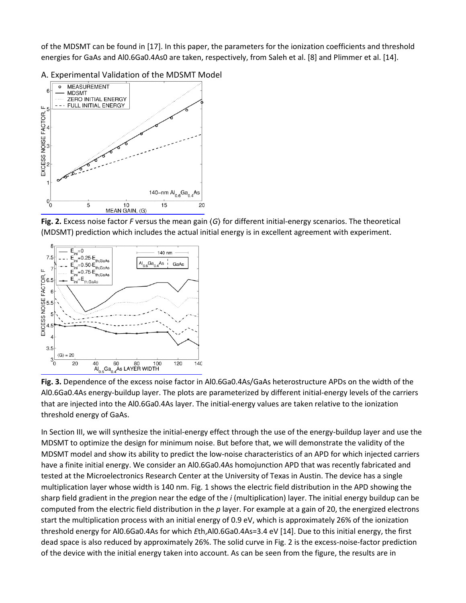of the MDSMT can be found in [17]. In this paper, the parameters for the ionization coefficients and threshold energies for GaAs and Al0.6Ga0.4As0 are taken, respectively, from Saleh et al. [8] and Plimmer et al. [14].

A. Experimental Validation of the MDSMT Model



**Fig. 2.** Excess noise factor *F* versus the mean gain ⟨*G*⟩ for different initial-energy scenarios. The theoretical (MDSMT) prediction which includes the actual initial energy is in excellent agreement with experiment.



**Fig. 3.** Dependence of the excess noise factor in Al0.6Ga0.4As/GaAs heterostructure APDs on the width of the Al0.6Ga0.4As energy-buildup layer. The plots are parameterized by different initial-energy levels of the carriers that are injected into the Al0.6Ga0.4As layer. The initial-energy values are taken relative to the ionization threshold energy of GaAs.

In Section III, we will synthesize the initial-energy effect through the use of the energy-buildup layer and use the MDSMT to optimize the design for minimum noise. But before that, we will demonstrate the validity of the MDSMT model and show its ability to predict the low-noise characteristics of an APD for which injected carriers have a finite initial energy. We consider an Al0.6Ga0.4As homojunction APD that was recently fabricated and tested at the Microelectronics Research Center at the University of Texas in Austin. The device has a single multiplication layer whose width is 140 nm. Fig. 1 shows the electric field distribution in the APD showing the sharp field gradient in the *p*region near the edge of the *i* (multiplication) layer. The initial energy buildup can be computed from the electric field distribution in the *p* layer. For example at a gain of 20, the energized electrons start the multiplication process with an initial energy of 0.9 eV, which is approximately 26% of the ionization threshold energy for Al0.6Ga0.4As for which *E*th,Al0.6Ga0.4As=3.4 eV [14]. Due to this initial energy, the first dead space is also reduced by approximately 26%. The solid curve in Fig. 2 is the excess-noise-factor prediction of the device with the initial energy taken into account. As can be seen from the figure, the results are in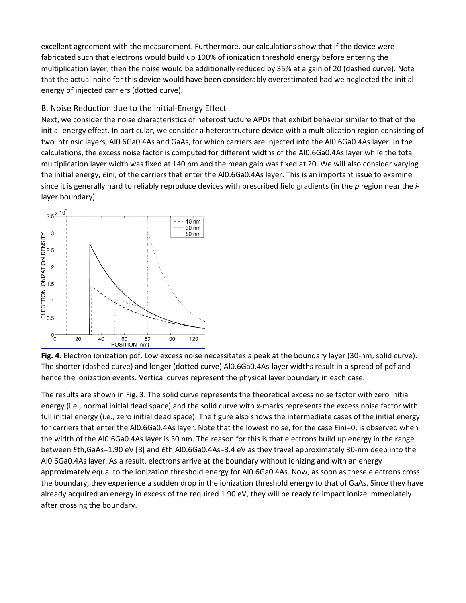excellent agreement with the measurement. Furthermore, our calculations show that if the device were fabricated such that electrons would build up 100% of ionization threshold energy before entering the multiplication layer, then the noise would be additionally reduced by 35% at a gain of 20 (dashed curve). Note that the actual noise for this device would have been considerably overestimated had we neglected the initial energy of injected carriers (dotted curve).

#### B. Noise Reduction due to the Initial-Energy Effect

Next, we consider the noise characteristics of heterostructure APDs that exhibit behavior similar to that of the initial-energy effect. In particular, we consider a heterostructure device with a multiplication region consisting of two intrinsic layers, Al0.6Ga0.4As and GaAs, for which carriers are injected into the Al0.6Ga0.4As layer. In the calculations, the excess noise factor is computed for different widths of the Al0.6Ga0.4As layer while the total multiplication layer width was fixed at 140 nm and the mean gain was fixed at 20. We will also consider varying the initial energy, *E*ini, of the carriers that enter the Al0.6Ga0.4As layer. This is an important issue to examine since it is generally hard to reliably reproduce devices with prescribed field gradients (in the *p* region near the *i*layer boundary).



**Fig. 4.** Electron ionization pdf. Low excess noise necessitates a peak at the boundary layer (30-nm, solid curve). The shorter (dashed curve) and longer (dotted curve) Al0.6Ga0.4As-layer widths result in a spread of pdf and hence the ionization events. Vertical curves represent the physical layer boundary in each case.

The results are shown in Fig. 3. The solid curve represents the theoretical excess noise factor with zero initial energy (i.e., normal initial dead space) and the solid curve with x-marks represents the excess noise factor with full initial energy (i.e., zero initial dead space). The figure also shows the intermediate cases of the initial energy for carriers that enter the Al0.6Ga0.4As layer. Note that the lowest noise, for the case *E*ini=0, is observed when the width of the Al0.6Ga0.4As layer is 30 nm. The reason for this is that electrons build up energy in the range between *E*th,GaAs=1.90 eV [8] and *E*th,Al0.6Ga0.4As=3.4 eV as they travel approximately 30-nm deep into the Al0.6Ga0.4As layer. As a result, electrons arrive at the boundary without ionizing and with an energy approximately equal to the ionization threshold energy for Al0.6Ga0.4As. Now, as soon as these electrons cross the boundary, they experience a sudden drop in the ionization threshold energy to that of GaAs. Since they have already acquired an energy in excess of the required 1.90 eV, they will be ready to impact ionize immediately after crossing the boundary.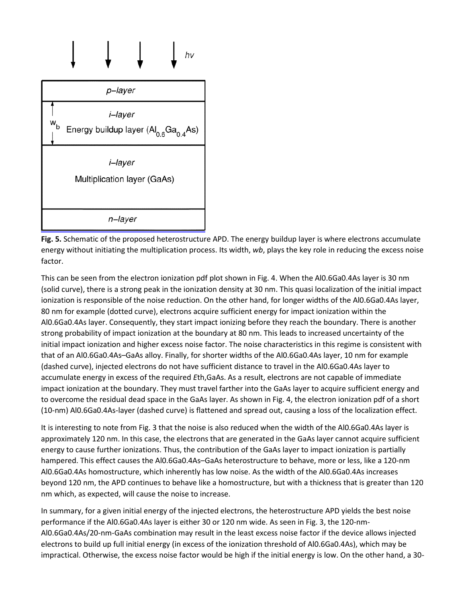

**Fig. 5.** Schematic of the proposed heterostructure APD. The energy buildup layer is where electrons accumulate energy without initiating the multiplication process. Its width, *wb*, plays the key role in reducing the excess noise factor.

This can be seen from the electron ionization pdf plot shown in Fig. 4. When the Al0.6Ga0.4As layer is 30 nm (solid curve), there is a strong peak in the ionization density at 30 nm. This quasi localization of the initial impact ionization is responsible of the noise reduction. On the other hand, for longer widths of the Al0.6Ga0.4As layer, 80 nm for example (dotted curve), electrons acquire sufficient energy for impact ionization within the Al0.6Ga0.4As layer. Consequently, they start impact ionizing before they reach the boundary. There is another strong probability of impact ionization at the boundary at 80 nm. This leads to increased uncertainty of the initial impact ionization and higher excess noise factor. The noise characteristics in this regime is consistent with that of an Al0.6Ga0.4As–GaAs alloy. Finally, for shorter widths of the Al0.6Ga0.4As layer, 10 nm for example (dashed curve), injected electrons do not have sufficient distance to travel in the Al0.6Ga0.4As layer to accumulate energy in excess of the required *E*th,GaAs. As a result, electrons are not capable of immediate impact ionization at the boundary. They must travel farther into the GaAs layer to acquire sufficient energy and to overcome the residual dead space in the GaAs layer. As shown in Fig. 4, the electron ionization pdf of a short (10-nm) Al0.6Ga0.4As-layer (dashed curve) is flattened and spread out, causing a loss of the localization effect.

It is interesting to note from Fig. 3 that the noise is also reduced when the width of the Al0.6Ga0.4As layer is approximately 120 nm. In this case, the electrons that are generated in the GaAs layer cannot acquire sufficient energy to cause further ionizations. Thus, the contribution of the GaAs layer to impact ionization is partially hampered. This effect causes the Al0.6Ga0.4As–GaAs heterostructure to behave, more or less, like a 120-nm Al0.6Ga0.4As homostructure, which inherently has low noise. As the width of the Al0.6Ga0.4As increases beyond 120 nm, the APD continues to behave like a homostructure, but with a thickness that is greater than 120 nm which, as expected, will cause the noise to increase.

In summary, for a given initial energy of the injected electrons, the heterostructure APD yields the best noise performance if the Al0.6Ga0.4As layer is either 30 or 120 nm wide. As seen in Fig. 3, the 120-nm-Al0.6Ga0.4As/20-nm-GaAs combination may result in the least excess noise factor if the device allows injected electrons to build up full initial energy (in excess of the ionization threshold of Al0.6Ga0.4As), which may be impractical. Otherwise, the excess noise factor would be high if the initial energy is low. On the other hand, a 30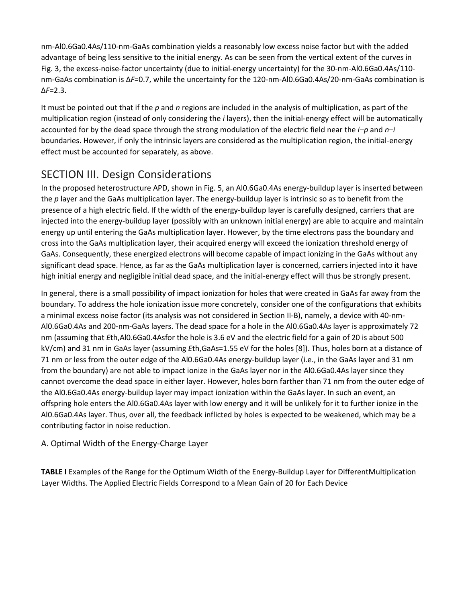nm-Al0.6Ga0.4As/110-nm-GaAs combination yields a reasonably low excess noise factor but with the added advantage of being less sensitive to the initial energy. As can be seen from the vertical extent of the curves in Fig. 3, the excess-noise-factor uncertainty (due to initial-energy uncertainty) for the 30-nm-Al0.6Ga0.4As/110 nm-GaAs combination is Δ*F*=0.7, while the uncertainty for the 120-nm-Al0.6Ga0.4As/20-nm-GaAs combination is Δ*F*=2.3.

It must be pointed out that if the *p* and *n* regions are included in the analysis of multiplication, as part of the multiplication region (instead of only considering the *i* layers), then the initial-energy effect will be automatically accounted for by the dead space through the strong modulation of the electric field near the *i–p* and *n–i* boundaries. However, if only the intrinsic layers are considered as the multiplication region, the initial-energy effect must be accounted for separately, as above.

### SECTION III. Design Considerations

In the proposed heterostructure APD, shown in Fig. 5, an Al0.6Ga0.4As energy-buildup layer is inserted between the *p* layer and the GaAs multiplication layer. The energy-buildup layer is intrinsic so as to benefit from the presence of a high electric field. If the width of the energy-buildup layer is carefully designed, carriers that are injected into the energy-buildup layer (possibly with an unknown initial energy) are able to acquire and maintain energy up until entering the GaAs multiplication layer. However, by the time electrons pass the boundary and cross into the GaAs multiplication layer, their acquired energy will exceed the ionization threshold energy of GaAs. Consequently, these energized electrons will become capable of impact ionizing in the GaAs without any significant dead space. Hence, as far as the GaAs multiplication layer is concerned, carriers injected into it have high initial energy and negligible initial dead space, and the initial-energy effect will thus be strongly present.

In general, there is a small possibility of impact ionization for holes that were created in GaAs far away from the boundary. To address the hole ionization issue more concretely, consider one of the configurations that exhibits a minimal excess noise factor (its analysis was not considered in Section II-B), namely, a device with 40-nm-Al0.6Ga0.4As and 200-nm-GaAs layers. The dead space for a hole in the Al0.6Ga0.4As layer is approximately 72 nm (assuming that *E*th,Al0.6Ga0.4Asfor the hole is 3.6 eV and the electric field for a gain of 20 is about 500 kV/cm) and 31 nm in GaAs layer (assuming *E*th,GaAs=1.55 eV for the holes [8]). Thus, holes born at a distance of 71 nm or less from the outer edge of the Al0.6Ga0.4As energy-buildup layer (i.e., in the GaAs layer and 31 nm from the boundary) are not able to impact ionize in the GaAs layer nor in the Al0.6Ga0.4As layer since they cannot overcome the dead space in either layer. However, holes born farther than 71 nm from the outer edge of the Al0.6Ga0.4As energy-buildup layer may impact ionization within the GaAs layer. In such an event, an offspring hole enters the Al0.6Ga0.4As layer with low energy and it will be unlikely for it to further ionize in the Al0.6Ga0.4As layer. Thus, over all, the feedback inflicted by holes is expected to be weakened, which may be a contributing factor in noise reduction.

#### A. Optimal Width of the Energy-Charge Layer

**TABLE I** Examples of the Range for the Optimum Width of the Energy-Buildup Layer for DifferentMultiplication Layer Widths. The Applied Electric Fields Correspond to a Mean Gain of 20 for Each Device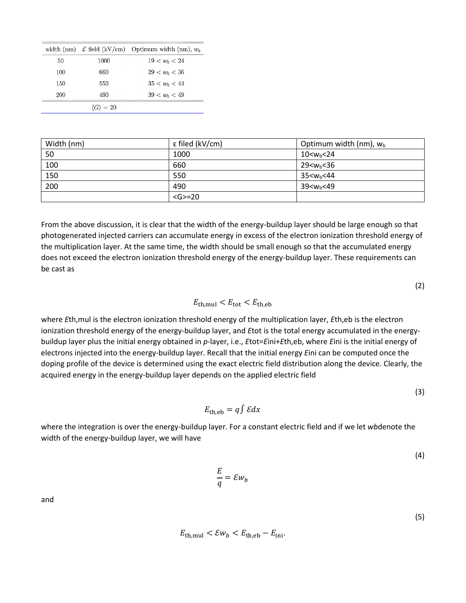|     |                          | width (nm) $\mathcal E$ field (kV/cm) Optimum width (nm), $w_b$ |
|-----|--------------------------|-----------------------------------------------------------------|
| 50  | 1000                     | $19 < w_b < 24$                                                 |
| 100 | 660                      | $29 < w_h < 36$                                                 |
| 150 | 550                      | $35 < w_b < 44$                                                 |
| 200 | 490                      | $39 < w_b < 49$                                                 |
|     | $\langle G \rangle = 20$ |                                                                 |

| Width (nm) | $\epsilon$ filed (kV/cm) | Optimum width (nm), $w_b$ |
|------------|--------------------------|---------------------------|
| 50         | 1000                     | 10 < $w_b$ < 24           |
| 100        | 660                      | 29 <w<sub>b&lt;36</w<sub> |
| 150        | 550                      | 35 < w <sub>b</sub> < 44  |
| 200        | 490                      | 39 < w <sub>b</sub> < 49  |
|            | $\le$ G>=20              |                           |

From the above discussion, it is clear that the width of the energy-buildup layer should be large enough so that photogenerated injected carriers can accumulate energy in excess of the electron ionization threshold energy of the multiplication layer. At the same time, the width should be small enough so that the accumulated energy does not exceed the electron ionization threshold energy of the energy-buildup layer. These requirements can be cast as

(2)

#### $E_{\text{th,mul}} < E_{\text{tot}} < E_{\text{th, eb}}$

where *E*th,mul is the electron ionization threshold energy of the multiplication layer, *E*th,eb is the electron ionization threshold energy of the energy-buildup layer, and *E*tot is the total energy accumulated in the energybuildup layer plus the initial energy obtained in *p*-layer, i.e., *E*tot=*E*ini+*E*th,eb, where *E*ini is the initial energy of electrons injected into the energy-buildup layer. Recall that the initial energy *E*ini can be computed once the doping profile of the device is determined using the exact electric field distribution along the device. Clearly, the acquired energy in the energy-buildup layer depends on the applied electric field

(3)

$$
E_{\text{th,eb}} = q \int \mathcal{E} dx
$$

where the integration is over the energy-buildup layer. For a constant electric field and if we let *wb*denote the width of the energy-buildup layer, we will have

$$
\frac{E}{\cdot} = \mathcal{E}w_b
$$
 (4)

and

 $E_{\text{th,mul}} < \mathcal{E} w_b < E_{\text{th.eb}} - E_{\text{ini}}.$ 

E  $\frac{1}{q} = \varepsilon w_b$ 

(5)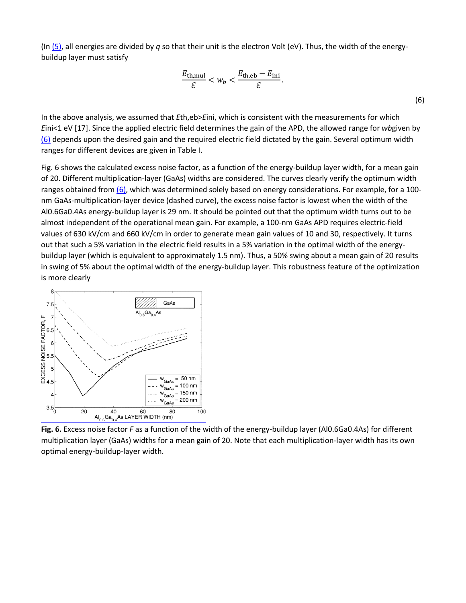(In [\(5\),](https://ieeexplore.ieee.org/document/#deqn5) all energies are divided by *q* so that their unit is the electron Volt (eV). Thus, the width of the energybuildup layer must satisfy

$$
\frac{E_{\text{th,mul}}}{\mathcal{E}} < w_b < \frac{E_{\text{th,eb}} - E_{\text{ini}}}{\mathcal{E}}.\tag{6}
$$

In the above analysis, we assumed that *E*th,eb>*E*ini, which is consistent with the measurements for which *E*ini<1 eV [17]. Since the applied electric field determines the gain of the APD, the allowed range for *wb*given by [\(6\)](https://ieeexplore.ieee.org/document/#deqn6) depends upon the desired gain and the required electric field dictated by the gain. Several optimum width ranges for different devices are given in Table I.

Fig. 6 shows the calculated excess noise factor, as a function of the energy-buildup layer width, for a mean gain of 20. Different multiplication-layer (GaAs) widths are considered. The curves clearly verify the optimum width ranges obtained from [\(6\),](https://ieeexplore.ieee.org/document/#deqn6) which was determined solely based on energy considerations. For example, for a 100nm GaAs-multiplication-layer device (dashed curve), the excess noise factor is lowest when the width of the Al0.6Ga0.4As energy-buildup layer is 29 nm. It should be pointed out that the optimum width turns out to be almost independent of the operational mean gain. For example, a 100-nm GaAs APD requires electric-field values of 630 kV/cm and 660 kV/cm in order to generate mean gain values of 10 and 30, respectively. It turns out that such a 5% variation in the electric field results in a 5% variation in the optimal width of the energybuildup layer (which is equivalent to approximately 1.5 nm). Thus, a 50% swing about a mean gain of 20 results in swing of 5% about the optimal width of the energy-buildup layer. This robustness feature of the optimization is more clearly



**Fig. 6.** Excess noise factor *F* as a function of the width of the energy-buildup layer (Al0.6Ga0.4As) for different multiplication layer (GaAs) widths for a mean gain of 20. Note that each multiplication-layer width has its own optimal energy-buildup-layer width.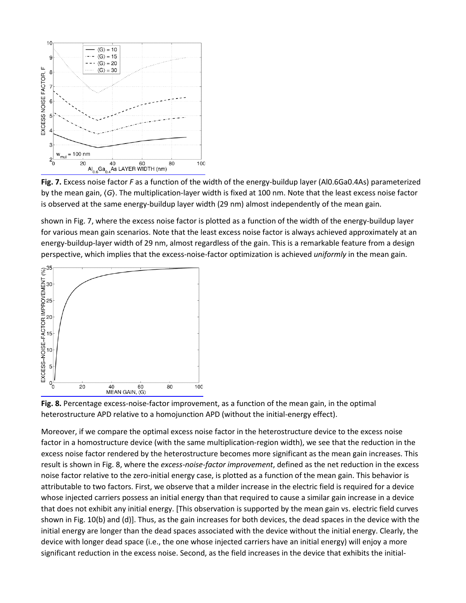

**Fig. 7.** Excess noise factor *F* as a function of the width of the energy-buildup layer (Al0.6Ga0.4As) parameterized by the mean gain, ⟨*G*⟩. The multiplication-layer width is fixed at 100 nm. Note that the least excess noise factor is observed at the same energy-buildup layer width (29 nm) almost independently of the mean gain.

shown in Fig. 7, where the excess noise factor is plotted as a function of the width of the energy-buildup layer for various mean gain scenarios. Note that the least excess noise factor is always achieved approximately at an energy-buildup-layer width of 29 nm, almost regardless of the gain. This is a remarkable feature from a design perspective, which implies that the excess-noise-factor optimization is achieved *uniformly* in the mean gain.





Moreover, if we compare the optimal excess noise factor in the heterostructure device to the excess noise factor in a homostructure device (with the same multiplication-region width), we see that the reduction in the excess noise factor rendered by the heterostructure becomes more significant as the mean gain increases. This result is shown in Fig. 8, where the *excess-noise-factor improvement*, defined as the net reduction in the excess noise factor relative to the zero-initial energy case, is plotted as a function of the mean gain. This behavior is attributable to two factors. First, we observe that a milder increase in the electric field is required for a device whose injected carriers possess an initial energy than that required to cause a similar gain increase in a device that does not exhibit any initial energy. [This observation is supported by the mean gain vs. electric field curves shown in Fig. 10(b) and (d)]. Thus, as the gain increases for both devices, the dead spaces in the device with the initial energy are longer than the dead spaces associated with the device without the initial energy. Clearly, the device with longer dead space (i.e., the one whose injected carriers have an initial energy) will enjoy a more significant reduction in the excess noise. Second, as the field increases in the device that exhibits the initial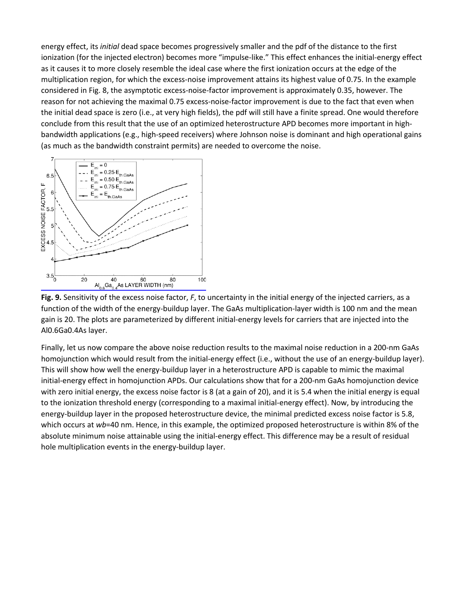energy effect, its *initial* dead space becomes progressively smaller and the pdf of the distance to the first ionization (for the injected electron) becomes more "impulse-like." This effect enhances the initial-energy effect as it causes it to more closely resemble the ideal case where the first ionization occurs at the edge of the multiplication region, for which the excess-noise improvement attains its highest value of 0.75. In the example considered in Fig. 8, the asymptotic excess-noise-factor improvement is approximately 0.35, however. The reason for not achieving the maximal 0.75 excess-noise-factor improvement is due to the fact that even when the initial dead space is zero (i.e., at very high fields), the pdf will still have a finite spread. One would therefore conclude from this result that the use of an optimized heterostructure APD becomes more important in highbandwidth applications (e.g., high-speed receivers) where Johnson noise is dominant and high operational gains (as much as the bandwidth constraint permits) are needed to overcome the noise.



**Fig. 9.** Sensitivity of the excess noise factor, *F*, to uncertainty in the initial energy of the injected carriers, as a function of the width of the energy-buildup layer. The GaAs multiplication-layer width is 100 nm and the mean gain is 20. The plots are parameterized by different initial-energy levels for carriers that are injected into the Al0.6Ga0.4As layer.

Finally, let us now compare the above noise reduction results to the maximal noise reduction in a 200-nm GaAs homojunction which would result from the initial-energy effect (i.e., without the use of an energy-buildup layer). This will show how well the energy-buildup layer in a heterostructure APD is capable to mimic the maximal initial-energy effect in homojunction APDs. Our calculations show that for a 200-nm GaAs homojunction device with zero initial energy, the excess noise factor is 8 (at a gain of 20), and it is 5.4 when the initial energy is equal to the ionization threshold energy (corresponding to a maximal initial-energy effect). Now, by introducing the energy-buildup layer in the proposed heterostructure device, the minimal predicted excess noise factor is 5.8, which occurs at *wb*=40 nm. Hence, in this example, the optimized proposed heterostructure is within 8% of the absolute minimum noise attainable using the initial-energy effect. This difference may be a result of residual hole multiplication events in the energy-buildup layer.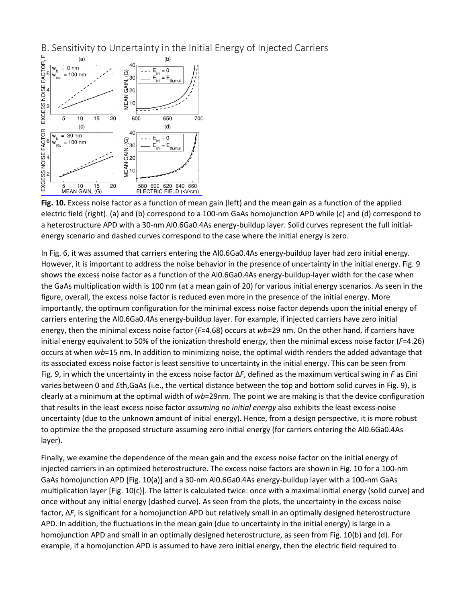

B. Sensitivity to Uncertainty in the Initial Energy of Injected Carriers

**Fig. 10.** Excess noise factor as a function of mean gain (left) and the mean gain as a function of the applied electric field (right). (a) and (b) correspond to a 100-nm GaAs homojunction APD while (c) and (d) correspond to a heterostructure APD with a 30-nm Al0.6Ga0.4As energy-buildup layer. Solid curves represent the full initialenergy scenario and dashed curves correspond to the case where the initial energy is zero.

In Fig. 6, it was assumed that carriers entering the Al0.6Ga0.4As energy-buildup layer had zero initial energy. However, it is important to address the noise behavior in the presence of uncertainty in the initial energy. Fig. 9 shows the excess noise factor as a function of the Al0.6Ga0.4As energy-buildup-layer width for the case when the GaAs multiplication width is 100 nm (at a mean gain of 20) for various initial energy scenarios. As seen in the figure, overall, the excess noise factor is reduced even more in the presence of the initial energy. More importantly, the optimum configuration for the minimal excess noise factor depends upon the initial energy of carriers entering the Al0.6Ga0.4As energy-buildup layer. For example, if injected carriers have zero initial energy, then the minimal excess noise factor (*F*=4.68) occurs at *wb*=29 nm. On the other hand, if carriers have initial energy equivalent to 50% of the ionization threshold energy, then the minimal excess noise factor (*F*=4.26) occurs at when *wb*=15 nm. In addition to minimizing noise, the optimal width renders the added advantage that its associated excess noise factor is least sensitive to uncertainty in the initial energy. This can be seen from Fig. 9, in which the uncertainty in the excess noise factor Δ*F*, defined as the maximum vertical swing in *F* as *E*ini varies between 0 and *E*th,GaAs (i.e., the vertical distance between the top and bottom solid curves in Fig. 9), is clearly at a minimum at the optimal width of *wb*=29nm. The point we are making is that the device configuration that results in the least excess noise factor *assuming no initial energy* also exhibits the least excess-noise uncertainty (due to the unknown amount of initial energy). Hence, from a design perspective, it is more robust to optimize the the proposed structure assuming zero initial energy (for carriers entering the Al0.6Ga0.4As layer).

Finally, we examine the dependence of the mean gain and the excess noise factor on the initial energy of injected carriers in an optimized heterostructure. The excess noise factors are shown in Fig. 10 for a 100-nm GaAs homojunction APD [Fig. 10(a)] and a 30-nm Al0.6Ga0.4As energy-buildup layer with a 100-nm GaAs multiplication layer [Fig. 10(c)]. The latter is calculated twice: once with a maximal initial energy (solid curve) and once without any initial energy (dashed curve). As seen from the plots, the uncertainty in the excess noise factor, Δ*F*, is significant for a homojunction APD but relatively small in an optimally designed heterostructure APD. In addition, the fluctuations in the mean gain (due to uncertainty in the initial energy) is large in a homojunction APD and small in an optimally designed heterostructure, as seen from Fig. 10(b) and (d). For example, if a homojunction APD is assumed to have zero initial energy, then the electric field required to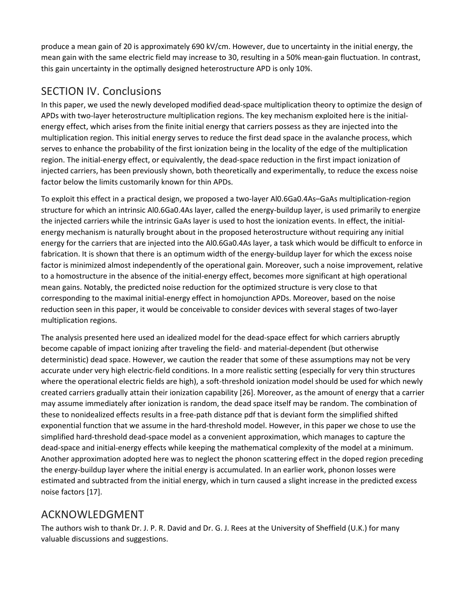produce a mean gain of 20 is approximately 690 kV/cm. However, due to uncertainty in the initial energy, the mean gain with the same electric field may increase to 30, resulting in a 50% mean-gain fluctuation. In contrast, this gain uncertainty in the optimally designed heterostructure APD is only 10%.

## SECTION IV. Conclusions

In this paper, we used the newly developed modified dead-space multiplication theory to optimize the design of APDs with two-layer heterostructure multiplication regions. The key mechanism exploited here is the initialenergy effect, which arises from the finite initial energy that carriers possess as they are injected into the multiplication region. This initial energy serves to reduce the first dead space in the avalanche process, which serves to enhance the probability of the first ionization being in the locality of the edge of the multiplication region. The initial-energy effect, or equivalently, the dead-space reduction in the first impact ionization of injected carriers, has been previously shown, both theoretically and experimentally, to reduce the excess noise factor below the limits customarily known for thin APDs.

To exploit this effect in a practical design, we proposed a two-layer Al0.6Ga0.4As–GaAs multiplication-region structure for which an intrinsic Al0.6Ga0.4As layer, called the energy-buildup layer, is used primarily to energize the injected carriers while the intrinsic GaAs layer is used to host the ionization events. In effect, the initialenergy mechanism is naturally brought about in the proposed heterostructure without requiring any initial energy for the carriers that are injected into the Al0.6Ga0.4As layer, a task which would be difficult to enforce in fabrication. It is shown that there is an optimum width of the energy-buildup layer for which the excess noise factor is minimized almost independently of the operational gain. Moreover, such a noise improvement, relative to a homostructure in the absence of the initial-energy effect, becomes more significant at high operational mean gains. Notably, the predicted noise reduction for the optimized structure is very close to that corresponding to the maximal initial-energy effect in homojunction APDs. Moreover, based on the noise reduction seen in this paper, it would be conceivable to consider devices with several stages of two-layer multiplication regions.

The analysis presented here used an idealized model for the dead-space effect for which carriers abruptly become capable of impact ionizing after traveling the field- and material-dependent (but otherwise deterministic) dead space. However, we caution the reader that some of these assumptions may not be very accurate under very high electric-field conditions. In a more realistic setting (especially for very thin structures where the operational electric fields are high), a soft-threshold ionization model should be used for which newly created carriers gradually attain their ionization capability [26]. Moreover, as the amount of energy that a carrier may assume immediately after ionization is random, the dead space itself may be random. The combination of these to nonidealized effects results in a free-path distance pdf that is deviant form the simplified shifted exponential function that we assume in the hard-threshold model. However, in this paper we chose to use the simplified hard-threshold dead-space model as a convenient approximation, which manages to capture the dead-space and initial-energy effects while keeping the mathematical complexity of the model at a minimum. Another approximation adopted here was to neglect the phonon scattering effect in the doped region preceding the energy-buildup layer where the initial energy is accumulated. In an earlier work, phonon losses were estimated and subtracted from the initial energy, which in turn caused a slight increase in the predicted excess noise factors [17].

#### ACKNOWLEDGMENT

The authors wish to thank Dr. J. P. R. David and Dr. G. J. Rees at the University of Sheffield (U.K.) for many valuable discussions and suggestions.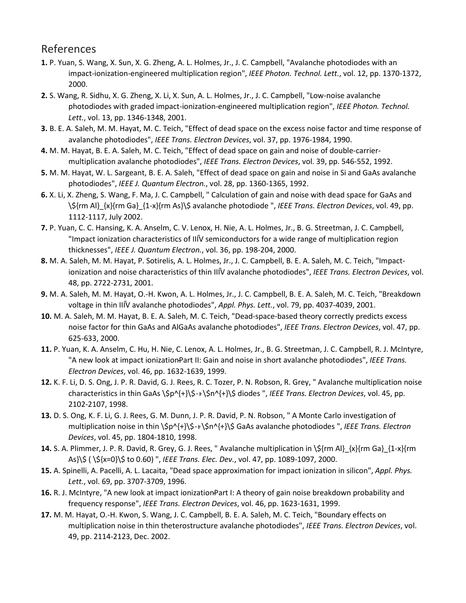#### References

- **1.** P. Yuan, S. Wang, X. Sun, X. G. Zheng, A. L. Holmes, Jr., J. C. Campbell, "Avalanche photodiodes with an impact-ionization-engineered multiplication region", *IEEE Photon. Technol. Lett.*, vol. 12, pp. 1370-1372, 2000.
- **2.** S. Wang, R. Sidhu, X. G. Zheng, X. Li, X. Sun, A. L. Holmes, Jr., J. C. Campbell, "Low-noise avalanche photodiodes with graded impact-ionization-engineered multiplication region", *IEEE Photon. Technol. Lett.*, vol. 13, pp. 1346-1348, 2001.
- **3.** B. E. A. Saleh, M. M. Hayat, M. C. Teich, "Effect of dead space on the excess noise factor and time response of avalanche photodiodes", *IEEE Trans. Electron Devices*, vol. 37, pp. 1976-1984, 1990.
- **4.** M. M. Hayat, B. E. A. Saleh, M. C. Teich, "Effect of dead space on gain and noise of double-carriermultiplication avalanche photodiodes", *IEEE Trans. Electron Devices*, vol. 39, pp. 546-552, 1992.
- **5.** M. M. Hayat, W. L. Sargeant, B. E. A. Saleh, "Effect of dead space on gain and noise in Si and GaAs avalanche photodiodes", *IEEE J. Quantum Electron.*, vol. 28, pp. 1360-1365, 1992.
- **6.** X. Li, X. Zheng, S. Wang, F. Ma, J. C. Campbell, " Calculation of gain and noise with dead space for GaAs and \\${rm Al}\_{x}{rm Ga}\_{1-x}{rm As}\\$ avalanche photodiode ", *IEEE Trans. Electron Devices*, vol. 49, pp. 1112-1117, July 2002.
- **7.** P. Yuan, C. C. Hansing, K. A. Anselm, C. V. Lenox, H. Nie, A. L. Holmes, Jr., B. G. Streetman, J. C. Campbell, "Impact ionization characteristics of III�V semiconductors for a wide range of multiplication region thicknesses", *IEEE J. Quantum Electron.*, vol. 36, pp. 198-204, 2000.
- **8.** M. A. Saleh, M. M. Hayat, P. Sotirelis, A. L. Holmes, Jr., J. C. Campbell, B. E. A. Saleh, M. C. Teich, "Impactionization and noise characteristics of thin IIIV avalanche photodiodes", IEEE Trans. Electron Devices, vol. 48, pp. 2722-2731, 2001.
- **9.** M. A. Saleh, M. M. Hayat, O.-H. Kwon, A. L. Holmes, Jr., J. C. Campbell, B. E. A. Saleh, M. C. Teich, "Breakdown voltage in thin IIIV avalanche photodiodes", Appl. Phys. Lett., vol. 79, pp. 4037-4039, 2001.
- **10.** M. A. Saleh, M. M. Hayat, B. E. A. Saleh, M. C. Teich, "Dead-space-based theory correctly predicts excess noise factor for thin GaAs and AlGaAs avalanche photodiodes", *IEEE Trans. Electron Devices*, vol. 47, pp. 625-633, 2000.
- **11.** P. Yuan, K. A. Anselm, C. Hu, H. Nie, C. Lenox, A. L. Holmes, Jr., B. G. Streetman, J. C. Campbell, R. J. McIntyre, "A new look at impact ionizationPart II: Gain and noise in short avalanche photodiodes", IEEE Trans. *Electron Devices*, vol. 46, pp. 1632-1639, 1999.
- **12.** K. F. Li, D. S. Ong, J. P. R. David, G. J. Rees, R. C. Tozer, P. N. Robson, R. Grey, " Avalanche multiplication noise characteristics in thin GaAs \\$p^{+}\\$ - \\$n^{+}\\$ diodes ", *IEEE Trans. Electron Devices*, vol. 45, pp. 2102-2107, 1998.
- **13.** D. S. Ong, K. F. Li, G. J. Rees, G. M. Dunn, J. P. R. David, P. N. Robson, " A Monte Carlo investigation of multiplication noise in thin \\$p^{+}\\$ -- \\$n^{+}\\$ GaAs avalanche photodiodes ", *IEEE Trans. Electron Devices*, vol. 45, pp. 1804-1810, 1998.
- **14.** S. A. Plimmer, J. P. R. David, R. Grey, G. J. Rees, " Avalanche multiplication in \\${rm Al}\_{x}{rm Ga}\_{1-x}{rm As}\\$ ( \\${x=0}\\$ to 0.60) ", *IEEE Trans. Elec. Dev.*, vol. 47, pp. 1089-1097, 2000.
- **15.** A. Spinelli, A. Pacelli, A. L. Lacaita, "Dead space approximation for impact ionization in silicon", *Appl. Phys. Lett.*, vol. 69, pp. 3707-3709, 1996.
- **16.** R. J. McIntyre, "A new look at impact ionization Part I: A theory of gain noise breakdown probability and frequency response", *IEEE Trans. Electron Devices*, vol. 46, pp. 1623-1631, 1999.
- **17.** M. M. Hayat, O.-H. Kwon, S. Wang, J. C. Campbell, B. E. A. Saleh, M. C. Teich, "Boundary effects on multiplication noise in thin theterostructure avalanche photodiodes", *IEEE Trans. Electron Devices*, vol. 49, pp. 2114-2123, Dec. 2002.